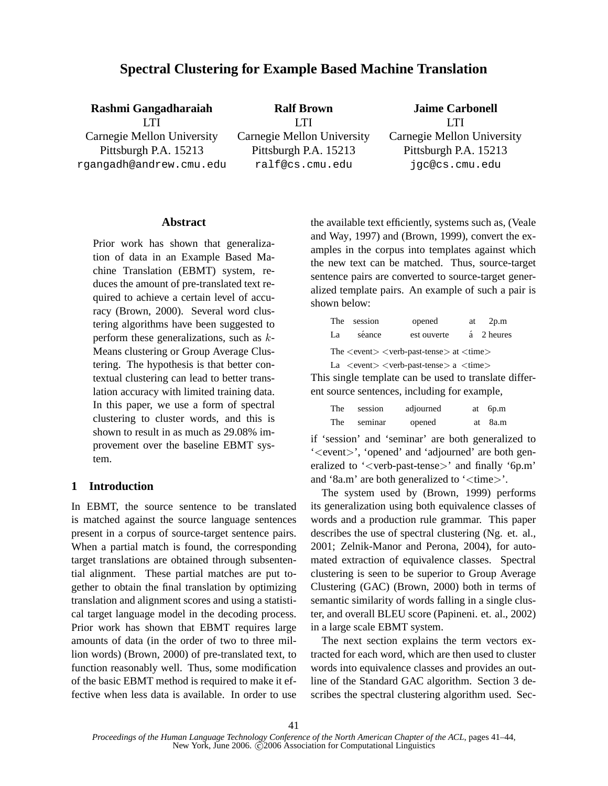# **Spectral Clustering for Example Based Machine Translation**

**Rashmi Gangadharaiah** LTI Carnegie Mellon University Pittsburgh P.A. 15213 rgangadh@andrew.cmu.edu **Ralf Brown** LTI Carnegie Mellon University Pittsburgh P.A. 15213 ralf@cs.cmu.edu **Jaime Carbonell** LTI Carnegie Mellon University Pittsburgh P.A. 15213 jgc@cs.cmu.edu

#### **Abstract**

Prior work has shown that generalization of data in an Example Based Machine Translation (EBMT) system, reduces the amount of pre-translated text required to achieve a certain level of accuracy (Brown, 2000). Several word clustering algorithms have been suggested to perform these generalizations, such as  $k$ -Means clustering or Group Average Clustering. The hypothesis is that better contextual clustering can lead to better translation accuracy with limited training data. In this paper, we use a form of spectral clustering to cluster words, and this is shown to result in as much as 29.08% improvement over the baseline EBMT system.

# **1 Introduction**

In EBMT, the source sentence to be translated is matched against the source language sentences present in a corpus of source-target sentence pairs. When a partial match is found, the corresponding target translations are obtained through subsentential alignment. These partial matches are put together to obtain the final translation by optimizing translation and alignment scores and using a statistical target language model in the decoding process. Prior work has shown that EBMT requires large amounts of data (in the order of two to three million words) (Brown, 2000) of pre-translated text, to function reasonably well. Thus, some modification of the basic EBMT method is required to make it effective when less data is available. In order to use the available text efficiently, systems such as, (Veale and Way, 1997) and (Brown, 1999), convert the examples in the corpus into templates against which the new text can be matched. Thus, source-target sentence pairs are converted to source-target generalized template pairs. An example of such a pair is shown below:

|                                                                                                     | The session | opened      |  | at $2p.m$  |  |  |
|-----------------------------------------------------------------------------------------------------|-------------|-------------|--|------------|--|--|
| La                                                                                                  | séance      | est ouverte |  | á 2 heures |  |  |
| The $\langle event \rangle \langle verb\text{-}past\text{-}tense \rangle$ at $\langle time \rangle$ |             |             |  |            |  |  |
| La $\langle$ event $\rangle$ $\langle$ verb-past-tense $\rangle$ a $\langle$ time $\rangle$         |             |             |  |            |  |  |

This single template can be used to translate different source sentences, including for example,

| The        | session | adjourned | at 6p.m |
|------------|---------|-----------|---------|
| <b>The</b> | seminar | opened    | at 8a.m |

if 'session' and 'seminar' are both generalized to '<event>', 'opened' and 'adjourned' are both generalized to '<verb-past-tense>' and finally '6p.m' and '8a.m' are both generalized to ' $\langle$ time $\rangle$ '.

The system used by (Brown, 1999) performs its generalization using both equivalence classes of words and a production rule grammar. This paper describes the use of spectral clustering (Ng. et. al., 2001; Zelnik-Manor and Perona, 2004), for automated extraction of equivalence classes. Spectral clustering is seen to be superior to Group Average Clustering (GAC) (Brown, 2000) both in terms of semantic similarity of words falling in a single cluster, and overall BLEU score (Papineni. et. al., 2002) in a large scale EBMT system.

The next section explains the term vectors extracted for each word, which are then used to cluster words into equivalence classes and provides an outline of the Standard GAC algorithm. Section 3 describes the spectral clustering algorithm used. Sec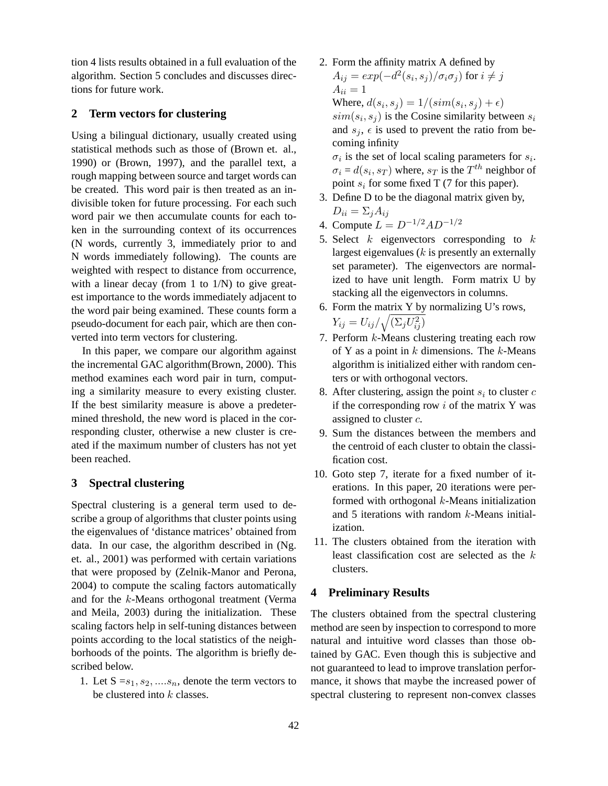tion 4 lists results obtained in a full evaluation of the algorithm. Section 5 concludes and discusses directions for future work.

## **2 Term vectors for clustering**

Using a bilingual dictionary, usually created using statistical methods such as those of (Brown et. al., 1990) or (Brown, 1997), and the parallel text, a rough mapping between source and target words can be created. This word pair is then treated as an indivisible token for future processing. For each such word pair we then accumulate counts for each token in the surrounding context of its occurrences (N words, currently 3, immediately prior to and N words immediately following). The counts are weighted with respect to distance from occurrence, with a linear decay (from 1 to  $1/N$ ) to give greatest importance to the words immediately adjacent to the word pair being examined. These counts form a pseudo-document for each pair, which are then converted into term vectors for clustering.

In this paper, we compare our algorithm against the incremental GAC algorithm(Brown, 2000). This method examines each word pair in turn, computing a similarity measure to every existing cluster. If the best similarity measure is above a predetermined threshold, the new word is placed in the corresponding cluster, otherwise a new cluster is created if the maximum number of clusters has not yet been reached.

### **3 Spectral clustering**

Spectral clustering is a general term used to describe a group of algorithms that cluster points using the eigenvalues of 'distance matrices' obtained from data. In our case, the algorithm described in (Ng. et. al., 2001) was performed with certain variations that were proposed by (Zelnik-Manor and Perona, 2004) to compute the scaling factors automatically and for the k-Means orthogonal treatment (Verma and Meila, 2003) during the initialization. These scaling factors help in self-tuning distances between points according to the local statistics of the neighborhoods of the points. The algorithm is briefly described below.

1. Let  $S = s_1, s_2, \ldots, s_n$ , denote the term vectors to be clustered into  $k$  classes.

- 2. Form the affinity matrix A defined by  $A_{ij} = exp(-d^2(s_i,s_j)/\sigma_i\sigma_j)$  for  $i \neq j$  $A_{ii} = 1$ Where,  $d(s_i, s_j) = 1/(sim(s_i, s_j) + \epsilon)$  $sim(s_i, s_j)$  is the Cosine similarity between  $s_i$ and  $s_j$ ,  $\epsilon$  is used to prevent the ratio from becoming infinity  $\sigma_i$  is the set of local scaling parameters for  $s_i$ .  $\sigma_i = d(s_i, s_T)$  where,  $s_T$  is the  $T^{th}$  neighbor of
- point  $s_i$  for some fixed T (7 for this paper). 3. Define D to be the diagonal matrix given by,  $D_{ii} = \sum_i A_{ij}$
- 4. Compute  $L = D^{-1/2}AD^{-1/2}$
- 5. Select  $k$  eigenvectors corresponding to  $k$ largest eigenvalues  $(k$  is presently an externally set parameter). The eigenvectors are normalized to have unit length. Form matrix U by stacking all the eigenvectors in columns.
- 6. Form the matrix Y by normalizing U's rows,  $Y_{ij} = U_{ij}/\sqrt{(\Sigma_j U_{ij}^2)}$
- 7. Perform k-Means clustering treating each row of Y as a point in  $k$  dimensions. The  $k$ -Means algorithm is initialized either with random centers or with orthogonal vectors.
- 8. After clustering, assign the point  $s_i$  to cluster  $c$ if the corresponding row  $i$  of the matrix Y was assigned to cluster  $c$ .
- 9. Sum the distances between the members and the centroid of each cluster to obtain the classification cost.
- 10. Goto step 7, iterate for a fixed number of iterations. In this paper, 20 iterations were performed with orthogonal  $k$ -Means initialization and 5 iterations with random  $k$ -Means initialization.
- 11. The clusters obtained from the iteration with least classification cost are selected as the  $k$ clusters.

### **4 Preliminary Results**

The clusters obtained from the spectral clustering method are seen by inspection to correspond to more natural and intuitive word classes than those obtained by GAC. Even though this is subjective and not guaranteed to lead to improve translation performance, it shows that maybe the increased power of spectral clustering to represent non-convex classes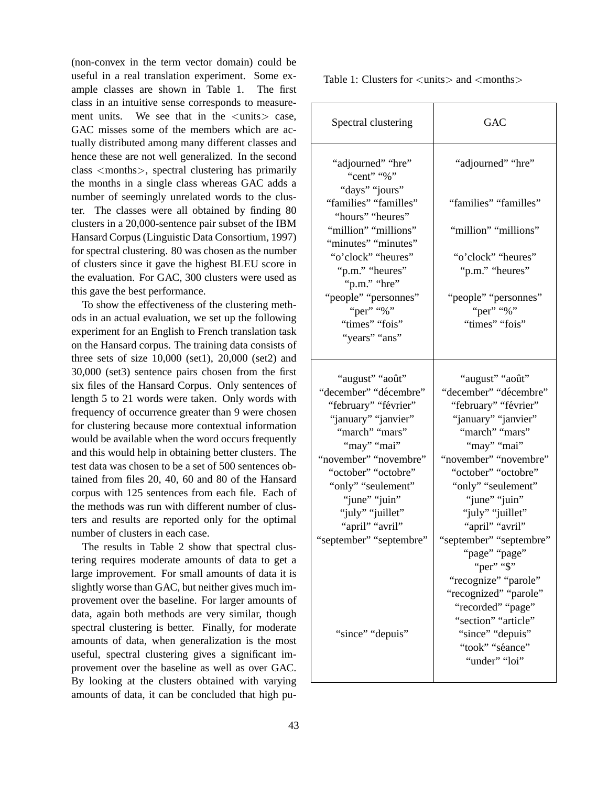(non-convex in the term vector domain) could be useful in a real translation experiment. Some example classes are shown in Table 1. The first class in an intuitive sense corresponds to measurement units. We see that in the  $\langle$ units $\rangle$  case, GAC misses some of the members which are actually distributed among many different classes and hence these are not well generalized. In the second class <months>, spectral clustering has primarily the months in a single class whereas GAC adds a number of seemingly unrelated words to the cluster. The classes were all obtained by finding 80 clusters in a 20,000-sentence pair subset of the IBM Hansard Corpus (Linguistic Data Consortium, 1997) for spectral clustering. 80 was chosen as the number of clusters since it gave the highest BLEU score in the evaluation. For GAC, 300 clusters were used as this gave the best performance.

To show the effectiveness of the clustering methods in an actual evaluation, we set up the following experiment for an English to French translation task on the Hansard corpus. The training data consists of three sets of size  $10,000$  (set1),  $20,000$  (set2) and 30,000 (set3) sentence pairs chosen from the first six files of the Hansard Corpus. Only sentences of length 5 to 21 words were taken. Only words with frequency of occurrence greater than 9 were chosen for clustering because more contextual information would be available when the word occurs frequently and this would help in obtaining better clusters. The test data was chosen to be a set of 500 sentences obtained from files 20, 40, 60 and 80 of the Hansard corpus with 125 sentences from each file. Each of the methods was run with different number of clusters and results are reported only for the optimal number of clusters in each case.

The results in Table 2 show that spectral clustering requires moderate amounts of data to get a large improvement. For small amounts of data it is slightly worse than GAC, but neither gives much improvement over the baseline. For larger amounts of data, again both methods are very similar, though spectral clustering is better. Finally, for moderate amounts of data, when generalization is the most useful, spectral clustering gives a significant improvement over the baseline as well as over GAC. By looking at the clusters obtained with varying amounts of data, it can be concluded that high puTable 1: Clusters for  $\langle \text{units} \rangle$  and  $\langle \text{months} \rangle$ 

| Spectral clustering                                         | GAC                                   |
|-------------------------------------------------------------|---------------------------------------|
| "adjourned" "hre"<br>"cent" "%"                             | "adjourned" "hre"                     |
| "days" "jours"<br>"families" "familles"<br>"hours" "heures" | "families" "familles"                 |
| "million" "millions"<br>"minutes" "minutes"                 | "million" "millions"                  |
| "o'clock" "heures"<br>"p.m." "heures"                       | "o'clock" "heures"<br>"p.m." "heures" |
| "p.m." "hre"<br>"people" "personnes"                        | "people" "personnes"                  |
| "per" "%"                                                   | "per" "%"                             |
| "times" "fois"<br>"years" "ans"                             | "times" "fois"                        |
| "august" "août"                                             | "august" "août"                       |
| "december" "décembre"                                       | "december" "décembre"                 |
| "february" "février"                                        | "february" "février"                  |
| "january" "janvier"                                         | "january" "janvier"                   |
| "march" "mars"                                              | "march" "mars"                        |
| "may" "mai"                                                 | "may" "mai"                           |
| "november" "novembre"                                       | "november" "novembre"                 |
| "october" "octobre"                                         | "october" "octobre"                   |
| "only" "seulement"                                          | "only" "seulement"                    |
| "june" "juin"                                               | "june" "juin"                         |
| "july" "juillet"                                            | "july" "juillet"                      |
| "april" "avril"                                             | "april" "avril"                       |
| "september" "septembre"                                     | "september" "septembre"               |
|                                                             | "page" "page"                         |
|                                                             | "per" "\$"                            |
|                                                             | "recognize" "parole"                  |
|                                                             | "recognized" "parole"                 |
|                                                             | "recorded" "page"                     |
|                                                             | "section" "article"                   |
| "since" "depuis"                                            | "since" "depuis"                      |
|                                                             | "took" "séance"                       |
|                                                             | "under" "loi"                         |
|                                                             |                                       |